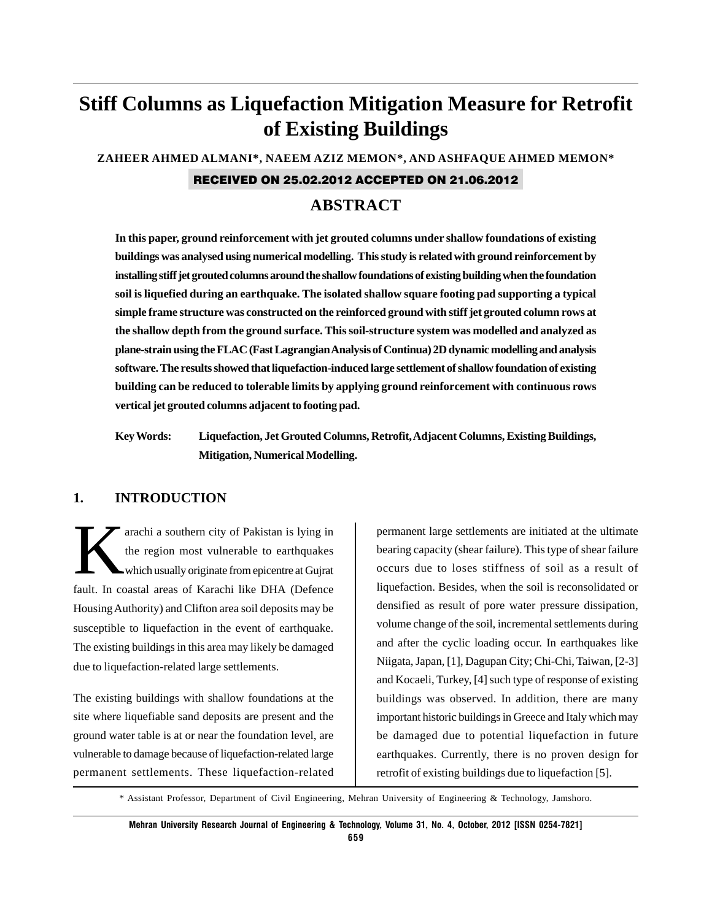# **Stiff Columns as Liquefaction Mitigation Measure for Retrofit of Existing Buildings**

**ZAHEER AHMED ALMANI\*, NAEEM AZIZ MEMON\*, AND ASHFAQUE AHMED MEMON\***

#### RECEIVED ON 25.02.2012 ACCEPTED ON 21.06.2012

# **ABSTRACT**

**In this paper, ground reinforcement with jet grouted columns under shallow foundations of existing buildings was analysed using numerical modelling. This study is related with ground reinforcement by installing stiff jet grouted columns around the shallow foundations of existing building when the foundation soil is liquefied during an earthquake. The isolated shallow square footing pad supporting a typical simple frame structure was constructed on the reinforced ground with stiff jet grouted column rows at the shallow depth from the ground surface. This soil-structure system was modelled and analyzed as plane-strain using the FLAC (Fast Lagrangian Analysis of Continua) 2D dynamic modelling and analysis software. The results showed that liquefaction-induced large settlement of shallow foundation of existing building can be reduced to tolerable limits by applying ground reinforcement with continuous rows vertical jet grouted columns adjacent to footing pad.**

**Key Words: Liquefaction, Jet Grouted Columns, Retrofit, Adjacent Columns, Existing Buildings, Mitigation, Numerical Modelling.**

### **1. INTRODUCTION**

arachi a southern city of Pakistan is lying in<br>the region most vulnerable to earthquakes<br>which usually originate from epicentre at Gujrat the region most vulnerable to earthquakes which usually originate from epicentre at Gujrat fault. In coastal areas of Karachi like DHA (Defence Housing Authority) and Clifton area soil deposits may be susceptible to liquefaction in the event of earthquake. The existing buildings in this area may likely be damaged due to liquefaction-related large settlements.

The existing buildings with shallow foundations at the site where liquefiable sand deposits are present and the ground water table is at or near the foundation level, are vulnerable to damage because of liquefaction-related large permanent settlements. These liquefaction-related permanent large settlements are initiated at the ultimate bearing capacity (shear failure). This type of shear failure occurs due to loses stiffness of soil as a result of liquefaction. Besides, when the soil is reconsolidated or densified as result of pore water pressure dissipation, volume change of the soil, incremental settlements during and after the cyclic loading occur. In earthquakes like Niigata, Japan, [1], Dagupan City; Chi-Chi, Taiwan, [2-3] and Kocaeli, Turkey, [4] such type of response of existing buildings was observed. In addition, there are many important historic buildings in Greece and Italy which may be damaged due to potential liquefaction in future earthquakes. Currently, there is no proven design for retrofit of existing buildings due to liquefaction [5].

\* Assistant Professor, Department of Civil Engineering, Mehran University of Engineering & Technology, Jamshoro.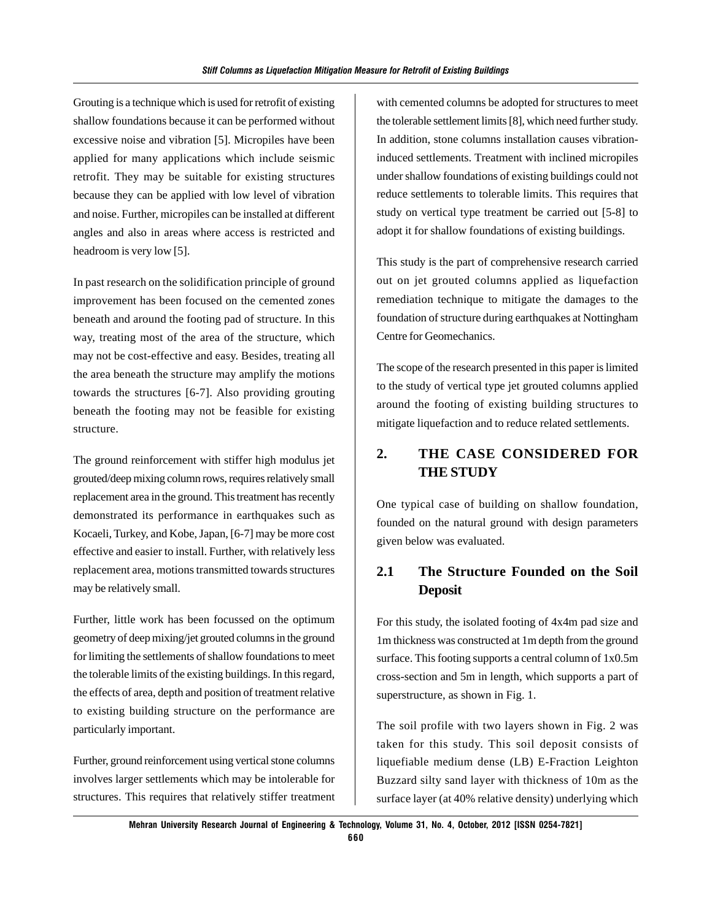Grouting is a technique which is used for retrofit of existing shallow foundations because it can be performed without excessive noise and vibration [5]. Micropiles have been applied for many applications which include seismic retrofit. They may be suitable for existing structures because they can be applied with low level of vibration and noise. Further, micropiles can be installed at different angles and also in areas where access is restricted and headroom is very low [5].

In past research on the solidification principle of ground improvement has been focused on the cemented zones beneath and around the footing pad of structure. In this way, treating most of the area of the structure, which may not be cost-effective and easy. Besides, treating all the area beneath the structure may amplify the motions towards the structures [6-7]. Also providing grouting beneath the footing may not be feasible for existing structure.

The ground reinforcement with stiffer high modulus jet grouted/deep mixing column rows, requires relatively small replacement area in the ground. This treatment has recently demonstrated its performance in earthquakes such as Kocaeli, Turkey, and Kobe, Japan, [6-7] may be more cost effective and easier to install. Further, with relatively less replacement area, motions transmitted towards structures may be relatively small.

Further, little work has been focussed on the optimum geometry of deep mixing/jet grouted columns in the ground for limiting the settlements of shallow foundations to meet the tolerable limits of the existing buildings. In this regard, the effects of area, depth and position of treatment relative to existing building structure on the performance are particularly important.

Further, ground reinforcement using vertical stone columns involves larger settlements which may be intolerable for structures. This requires that relatively stiffer treatment with cemented columns be adopted for structures to meet the tolerable settlement limits [8], which need further study. In addition, stone columns installation causes vibrationinduced settlements. Treatment with inclined micropiles under shallow foundations of existing buildings could not reduce settlements to tolerable limits. This requires that study on vertical type treatment be carried out [5-8] to adopt it for shallow foundations of existing buildings.

This study is the part of comprehensive research carried out on jet grouted columns applied as liquefaction remediation technique to mitigate the damages to the foundation of structure during earthquakes at Nottingham Centre for Geomechanics.

The scope of the research presented in this paper is limited to the study of vertical type jet grouted columns applied around the footing of existing building structures to mitigate liquefaction and to reduce related settlements.

### **2. THE CASE CONSIDERED FOR THE STUDY**

One typical case of building on shallow foundation, founded on the natural ground with design parameters given below was evaluated.

# **2.1 The Structure Founded on the Soil Deposit**

For this study, the isolated footing of 4x4m pad size and 1m thickness was constructed at 1m depth from the ground surface. This footing supports a central column of 1x0.5m cross-section and 5m in length, which supports a part of superstructure, as shown in Fig. 1.

The soil profile with two layers shown in Fig. 2 was taken for this study. This soil deposit consists of liquefiable medium dense (LB) E-Fraction Leighton Buzzard silty sand layer with thickness of 10m as the surface layer (at 40% relative density) underlying which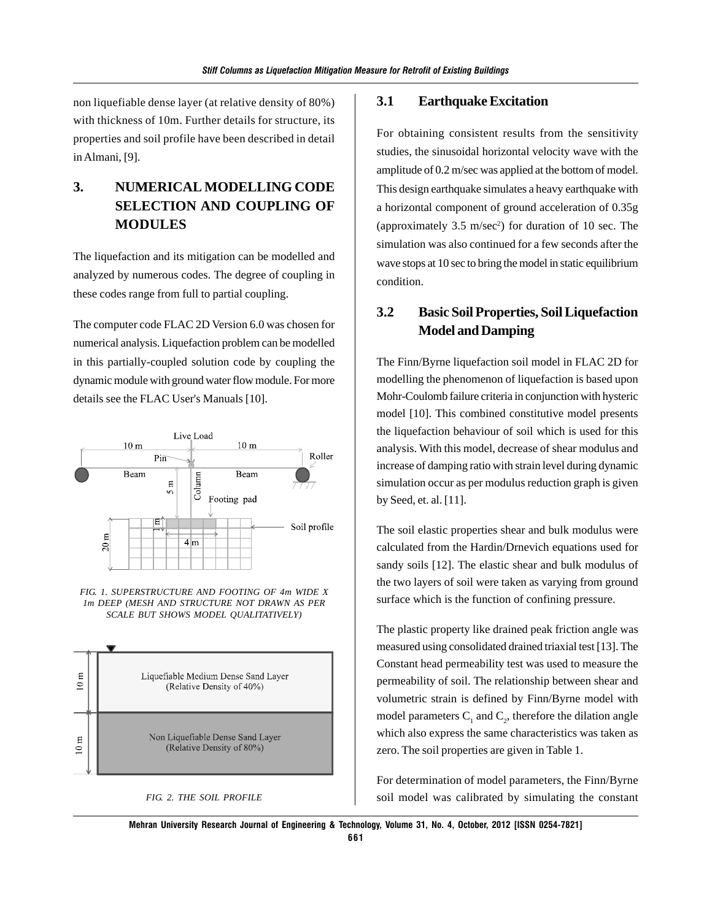non liquefiable dense layer (at relative density of 80%) with thickness of 10m. Further details for structure, its properties and soil profile have been described in detail in Almani, [9].

# **3. NUMERICAL MODELLING CODE SELECTION AND COUPLING OF MODULES**

The liquefaction and its mitigation can be modelled and analyzed by numerous codes. The degree of coupling in these codes range from full to partial coupling.

The computer code FLAC 2D Version 6.0 was chosen for numerical analysis. Liquefaction problem can be modelled in this partially-coupled solution code by coupling the dynamic module with ground water flow module. For more details see the FLAC User's Manuals [10].







#### *FIG. 2. THE SOIL PROFILE*

#### **3.1 Earthquake Excitation**

For obtaining consistent results from the sensitivity studies, the sinusoidal horizontal velocity wave with the amplitude of 0.2 m/sec was applied at the bottom of model. This design earthquake simulates a heavy earthquake with a horizontal component of ground acceleration of 0.35g (approximately  $3.5 \text{ m/sec}^2$ ) for duration of 10 sec. The simulation was also continued for a few seconds after the wave stops at 10 sec to bring the model in static equilibrium condition.

### **3.2 Basic Soil Properties, Soil Liquefaction Model and Damping**

The Finn/Byrne liquefaction soil model in FLAC 2D for modelling the phenomenon of liquefaction is based upon Mohr-Coulomb failure criteria in conjunction with hysteric model [10]. This combined constitutive model presents the liquefaction behaviour of soil which is used for this analysis. With this model, decrease of shear modulus and increase of damping ratio with strain level during dynamic simulation occur as per modulus reduction graph is given by Seed, et. al. [11].

The soil elastic properties shear and bulk modulus were calculated from the Hardin/Drnevich equations used for sandy soils [12]. The elastic shear and bulk modulus of the two layers of soil were taken as varying from ground surface which is the function of confining pressure.

The plastic property like drained peak friction angle was measured using consolidated drained triaxial test [13]. The Constant head permeability test was used to measure the permeability of soil. The relationship between shear and volumetric strain is defined by Finn/Byrne model with model parameters  $C_1$  and  $C_2$ , therefore the dilation angle which also express the same characteristics was taken as zero. The soil properties are given in Table 1.

For determination of model parameters, the Finn/Byrne soil model was calibrated by simulating the constant

**Mehran University Research Journal of Engineering & Technology, Volume 31, No. 4, October, 2012 [ISSN 0254-7821]**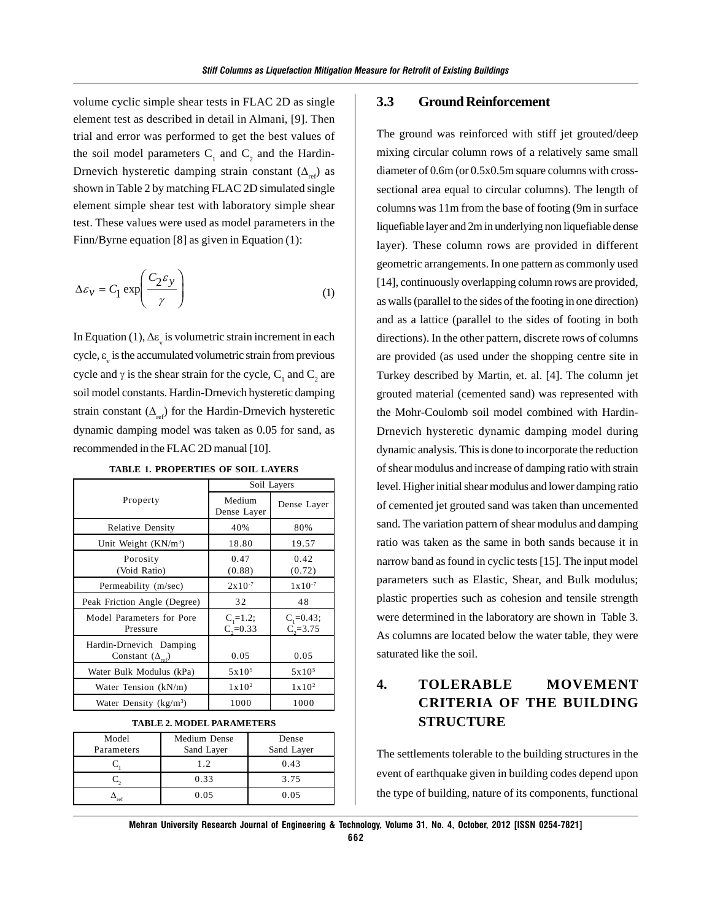volume cyclic simple shear tests in FLAC 2D as single element test as described in detail in Almani, [9]. Then trial and error was performed to get the best values of the soil model parameters  $C_1$  and  $C_2$  and the Hardin-Drnevich hysteretic damping strain constant  $(\Delta_{ref})$  as shown in Table 2 by matching FLAC 2D simulated single element simple shear test with laboratory simple shear test. These values were used as model parameters in the Finn/Byrne equation [8] as given in Equation (1):

$$
\Delta \varepsilon_{v} = C_1 \exp\left(\frac{C_2 \varepsilon_{y}}{\gamma}\right) \tag{1}
$$

In Equation (1),  $\Delta \varepsilon_{v}$  is volumetric strain increment in each cycle,  $\varepsilon$ <sub>v</sub> is the accumulated volumetric strain from previous cycle and  $\gamma$  is the shear strain for the cycle, C<sub>1</sub> and C<sub>2</sub> are soil model constants. Hardin-Drnevich hysteretic damping strain constant  $(\Delta_{ref})$  for the Hardin-Drnevich hysteretic dynamic damping model was taken as 0.05 for sand, as recommended in the FLAC 2D manual [10].

|                                                      | Soil Layers                    |                                 |  |
|------------------------------------------------------|--------------------------------|---------------------------------|--|
| Property                                             | Medium<br>Dense Layer          | Dense Layer                     |  |
| <b>Relative Density</b>                              | 40%                            | 80%                             |  |
| Unit Weight (KN/m <sup>3</sup> )                     | 18.80                          | 19.57                           |  |
| Porosity<br>(Void Ratio)                             | 0.47<br>(0.88)                 | 0.42<br>(0.72)                  |  |
| Permeability (m/sec)                                 | $2x10^{-7}$                    | $1x10^{-7}$                     |  |
| Peak Friction Angle (Degree)                         | 32                             | 48                              |  |
| Model Parameters for Pore<br>Pressure                | $C_i = 1.2;$<br>$C_{2} = 0.33$ | $C_1 = 0.43;$<br>$C_{2} = 3.75$ |  |
| Hardin-Drnevich Damping<br>Constant $(\Delta_{ref})$ | 0.05                           | 0.05                            |  |
| Water Bulk Modulus (kPa)                             | $5x10^5$                       | 5x10 <sup>5</sup>               |  |
| Water Tension (kN/m)                                 | $1 \times 10^2$                | $1 \times 10^2$                 |  |
| Water Density ( $kg/m3$ )                            | 1000                           | 1000                            |  |

**TABLE 1. PROPERTIES OF SOIL LAYERS**

#### **TABLE 2. MODEL PARAMETERS**

| Model      | Medium Dense | Dense      |
|------------|--------------|------------|
| Parameters | Sand Layer   | Sand Layer |
|            | 1.2.         | 0.43       |
|            | 0.33         | 3.75       |
| 're1       | 0.05         | 0.05       |

### **3.3 Ground Reinforcement**

The ground was reinforced with stiff jet grouted/deep mixing circular column rows of a relatively same small diameter of 0.6m (or 0.5x0.5m square columns with crosssectional area equal to circular columns). The length of columns was 11m from the base of footing (9m in surface liquefiable layer and 2m in underlying non liquefiable dense layer). These column rows are provided in different geometric arrangements. In one pattern as commonly used [14], continuously overlapping column rows are provided, as walls (parallel to the sides of the footing in one direction) and as a lattice (parallel to the sides of footing in both directions). In the other pattern, discrete rows of columns are provided (as used under the shopping centre site in Turkey described by Martin, et. al. [4]. The column jet grouted material (cemented sand) was represented with the Mohr-Coulomb soil model combined with Hardin-Drnevich hysteretic dynamic damping model during dynamic analysis. This is done to incorporate the reduction of shear modulus and increase of damping ratio with strain level. Higher initial shear modulus and lower damping ratio of cemented jet grouted sand was taken than uncemented sand. The variation pattern of shear modulus and damping ratio was taken as the same in both sands because it in narrow band as found in cyclic tests [15]. The input model parameters such as Elastic, Shear, and Bulk modulus; plastic properties such as cohesion and tensile strength were determined in the laboratory are shown in Table 3. As columns are located below the water table, they were saturated like the soil.

# **4. TOLERABLE MOVEMENT CRITERIA OF THE BUILDING STRUCTURE**

The settlements tolerable to the building structures in the event of earthquake given in building codes depend upon the type of building, nature of its components, functional

**Mehran University Research Journal of Engineering & Technology, Volume 31, No. 4, October, 2012 [ISSN 0254-7821]**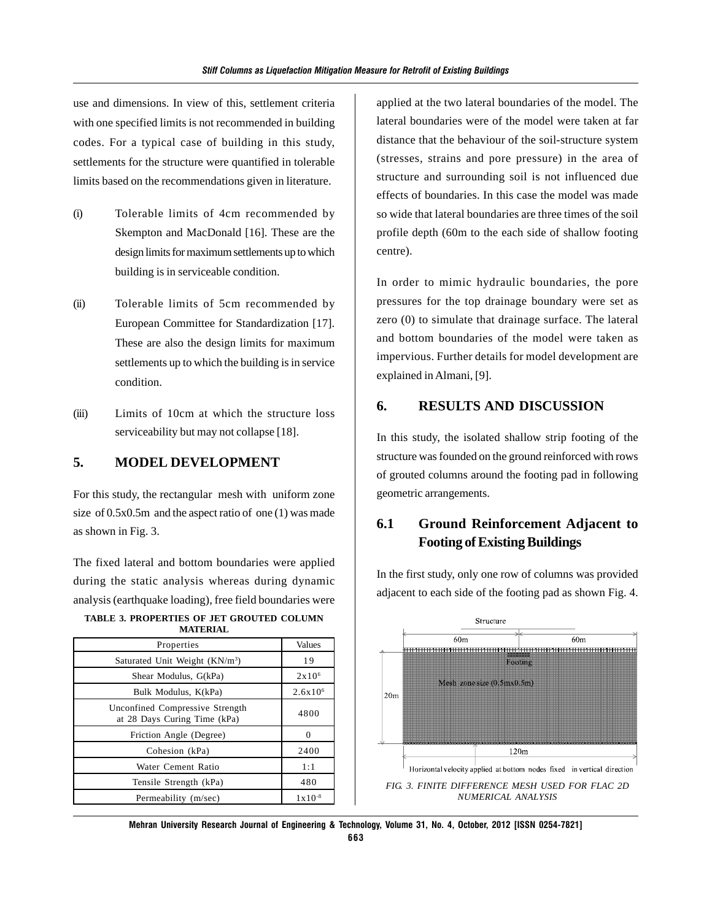use and dimensions. In view of this, settlement criteria with one specified limits is not recommended in building codes. For a typical case of building in this study, settlements for the structure were quantified in tolerable limits based on the recommendations given in literature.

- (i) Tolerable limits of 4cm recommended by Skempton and MacDonald [16]. These are the design limits for maximum settlements up to which building is in serviceable condition.
- (ii) Tolerable limits of 5cm recommended by European Committee for Standardization [17]. These are also the design limits for maximum settlements up to which the building is in service condition.
- (iii) Limits of 10cm at which the structure loss serviceability but may not collapse [18].

### **5. MODEL DEVELOPMENT**

For this study, the rectangular mesh with uniform zone size of 0.5x0.5m and the aspect ratio of one (1) was made as shown in Fig. 3.

The fixed lateral and bottom boundaries were applied during the static analysis whereas during dynamic analysis (earthquake loading), free field boundaries were

| TABLE 3. PROPERTIES OF JET GROUTED COLUMN |                 |  |
|-------------------------------------------|-----------------|--|
|                                           | <b>MATERIAL</b> |  |

| Properties                                                      | <b>Values</b>   |
|-----------------------------------------------------------------|-----------------|
| Saturated Unit Weight (KN/m <sup>3</sup> )                      | 19              |
| Shear Modulus, G(kPa)                                           | $2 \times 10^6$ |
| Bulk Modulus, K(kPa)                                            | $2.6x10^{6}$    |
| Unconfined Compressive Strength<br>at 28 Days Curing Time (kPa) | 4800            |
| Friction Angle (Degree)                                         |                 |
| Cohesion (kPa)                                                  | 2400            |
| Water Cement Ratio                                              | 1:1             |
| Tensile Strength (kPa)                                          | 480             |
| Permeability (m/sec)                                            | $1x10^{-8}$     |

applied at the two lateral boundaries of the model. The lateral boundaries were of the model were taken at far distance that the behaviour of the soil-structure system (stresses, strains and pore pressure) in the area of structure and surrounding soil is not influenced due effects of boundaries. In this case the model was made so wide that lateral boundaries are three times of the soil profile depth (60m to the each side of shallow footing centre).

In order to mimic hydraulic boundaries, the pore pressures for the top drainage boundary were set as zero (0) to simulate that drainage surface. The lateral and bottom boundaries of the model were taken as impervious. Further details for model development are explained in Almani, [9].

### **6. RESULTS AND DISCUSSION**

In this study, the isolated shallow strip footing of the structure was founded on the ground reinforced with rows of grouted columns around the footing pad in following geometric arrangements.

# **6.1 Ground Reinforcement Adjacent to Footing of Existing Buildings**

Structure  $60m$  $60m$ 199991999999999999999999 <del>11011111011111011111011111011111101111</del>0111110111 Footing Mesh zone size (0.5mx0.5m)  $20<sub>m</sub>$  $120m$ Horizontal velocity applied at bottom nodes fixed in vertical direction *FIG. 3. FINITE DIFFERENCE MESH USED FOR FLAC 2D NUMERICAL ANALYSIS*

In the first study, only one row of columns was provided adjacent to each side of the footing pad as shown Fig. 4.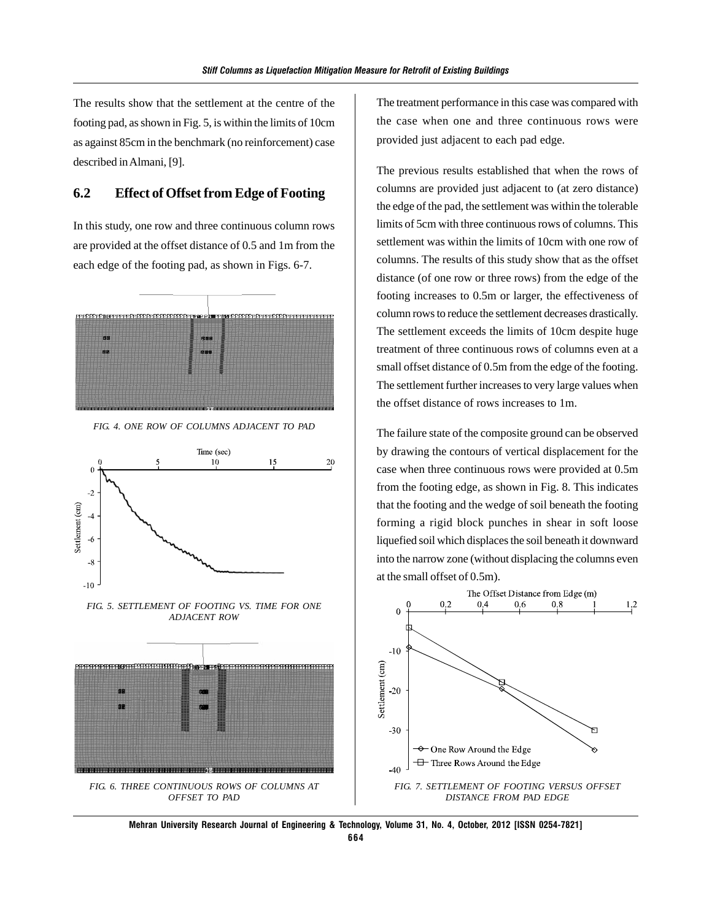The results show that the settlement at the centre of the footing pad, as shown in Fig. 5, is within the limits of 10cm as against 85cm in the benchmark (no reinforcement) case described in Almani, [9].

#### **6.2 Effect of Offset from Edge of Footing**

In this study, one row and three continuous column rows are provided at the offset distance of 0.5 and 1m from the each edge of the footing pad, as shown in Figs. 6-7.



*FIG. 4. ONE ROW OF COLUMNS ADJACENT TO PAD*



*FIG. 5. SETTLEMENT OF FOOTING VS. TIME FOR ONE ADJACENT ROW*



The treatment performance in this case was compared with the case when one and three continuous rows were provided just adjacent to each pad edge.

The previous results established that when the rows of columns are provided just adjacent to (at zero distance) the edge of the pad, the settlement was within the tolerable limits of 5cm with three continuous rows of columns. This settlement was within the limits of 10cm with one row of columns. The results of this study show that as the offset distance (of one row or three rows) from the edge of the footing increases to 0.5m or larger, the effectiveness of column rows to reduce the settlement decreases drastically. The settlement exceeds the limits of 10cm despite huge treatment of three continuous rows of columns even at a small offset distance of 0.5m from the edge of the footing. The settlement further increases to very large values when the offset distance of rows increases to 1m.

The failure state of the composite ground can be observed by drawing the contours of vertical displacement for the case when three continuous rows were provided at 0.5m from the footing edge, as shown in Fig. 8. This indicates that the footing and the wedge of soil beneath the footing forming a rigid block punches in shear in soft loose liquefied soil which displaces the soil beneath it downward into the narrow zone (without displacing the columns even at the small offset of 0.5m).



**Mehran University Research Journal of Engineering & Technology, Volume 31, No. 4, October, 2012 [ISSN 0254-7821] 664**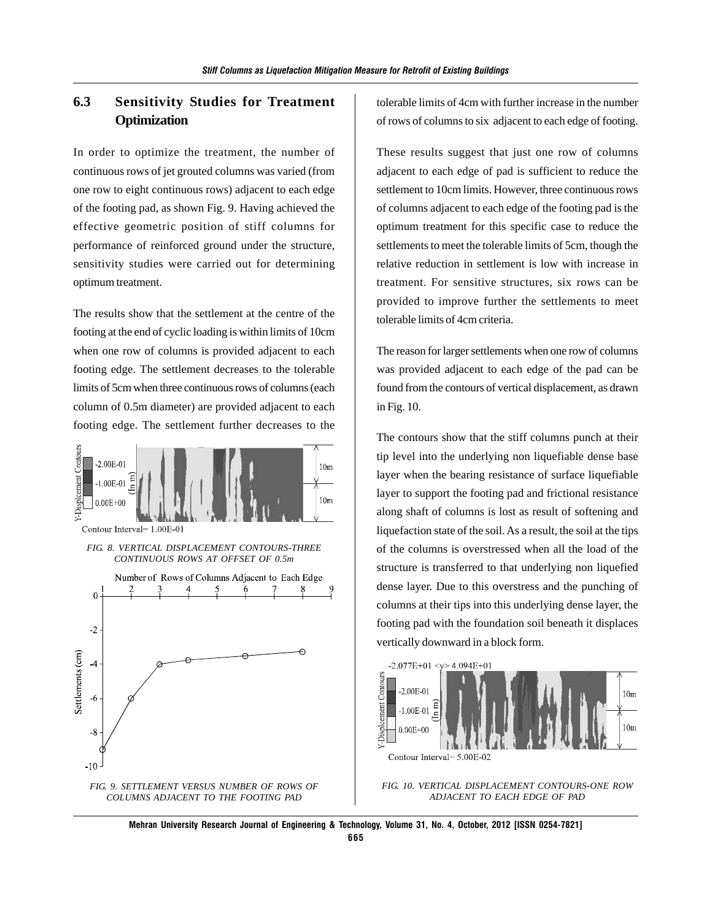### **6.3 Sensitivity Studies for Treatment Optimization**

In order to optimize the treatment, the number of continuous rows of jet grouted columns was varied (from one row to eight continuous rows) adjacent to each edge of the footing pad, as shown Fig. 9. Having achieved the effective geometric position of stiff columns for performance of reinforced ground under the structure, sensitivity studies were carried out for determining optimum treatment.

The results show that the settlement at the centre of the footing at the end of cyclic loading is within limits of 10cm when one row of columns is provided adjacent to each footing edge. The settlement decreases to the tolerable limits of 5cm when three continuous rows of columns (each column of 0.5m diameter) are provided adjacent to each footing edge. The settlement further decreases to the



tolerable limits of 4cm with further increase in the number of rows of columns to six adjacent to each edge of footing.

These results suggest that just one row of columns adjacent to each edge of pad is sufficient to reduce the settlement to 10cm limits. However, three continuous rows of columns adjacent to each edge of the footing pad is the optimum treatment for this specific case to reduce the settlements to meet the tolerable limits of 5cm, though the relative reduction in settlement is low with increase in treatment. For sensitive structures, six rows can be provided to improve further the settlements to meet tolerable limits of 4cm criteria.

The reason for larger settlements when one row of columns was provided adjacent to each edge of the pad can be found from the contours of vertical displacement, as drawn in Fig. 10.

The contours show that the stiff columns punch at their tip level into the underlying non liquefiable dense base layer when the bearing resistance of surface liquefiable layer to support the footing pad and frictional resistance along shaft of columns is lost as result of softening and liquefaction state of the soil. As a result, the soil at the tips of the columns is overstressed when all the load of the structure is transferred to that underlying non liquefied dense layer. Due to this overstress and the punching of columns at their tips into this underlying dense layer, the footing pad with the foundation soil beneath it displaces vertically downward in a block form.



*FIG. 10. VERTICAL DISPLACEMENT CONTOURS-ONE ROW ADJACENT TO EACH EDGE OF PAD*

**Mehran University Research Journal of Engineering & Technology, Volume 31, No. 4, October, 2012 [ISSN 0254-7821] 665**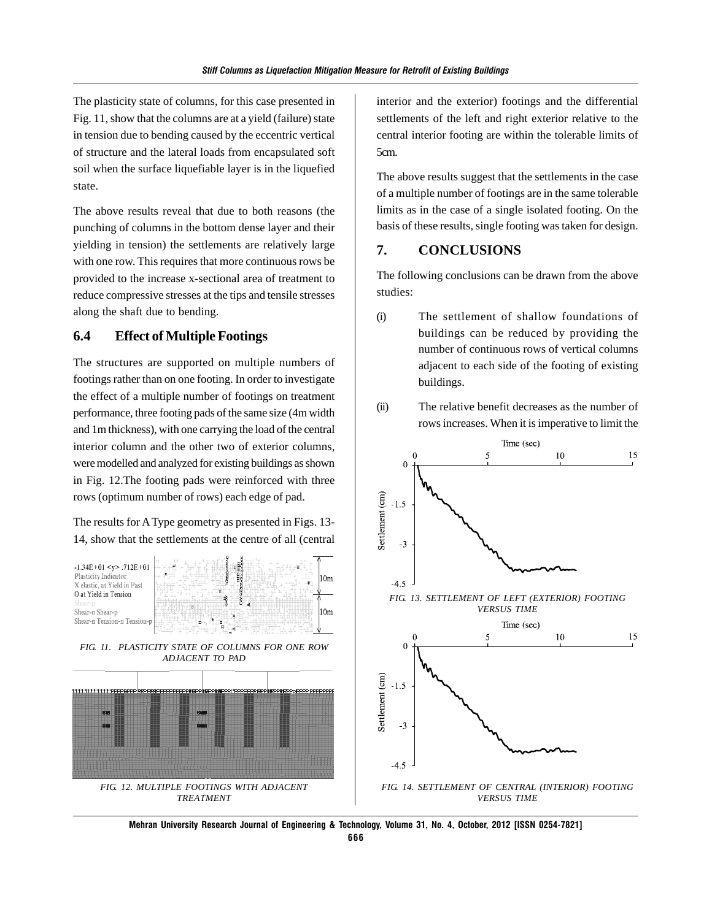The plasticity state of columns, for this case presented in Fig. 11, show that the columns are at a yield (failure) state in tension due to bending caused by the eccentric vertical of structure and the lateral loads from encapsulated soft soil when the surface liquefiable layer is in the liquefied state.

The above results reveal that due to both reasons (the punching of columns in the bottom dense layer and their yielding in tension) the settlements are relatively large with one row. This requires that more continuous rows be provided to the increase x-sectional area of treatment to reduce compressive stresses at the tips and tensile stresses along the shaft due to bending.

### **6.4 Effect of Multiple Footings**

The structures are supported on multiple numbers of footings rather than on one footing. In order to investigate the effect of a multiple number of footings on treatment performance, three footing pads of the same size (4m width and 1m thickness), with one carrying the load of the central interior column and the other two of exterior columns, were modelled and analyzed for existing buildings as shown in Fig. 12.The footing pads were reinforced with three rows (optimum number of rows) each edge of pad.

The results for A Type geometry as presented in Figs. 13- 14, show that the settlements at the centre of all (central





interior and the exterior) footings and the differential settlements of the left and right exterior relative to the central interior footing are within the tolerable limits of 5cm.

The above results suggest that the settlements in the case of a multiple number of footings are in the same tolerable limits as in the case of a single isolated footing. On the basis of these results, single footing was taken for design.

#### **7. CONCLUSIONS**

The following conclusions can be drawn from the above studies:

(i) The settlement of shallow foundations of buildings can be reduced by providing the number of continuous rows of vertical columns adjacent to each side of the footing of existing buildings.





*FIG. 14. SETTLEMENT OF CENTRAL (INTERIOR) FOOTING VERSUS TIME*

**Mehran University Research Journal of Engineering & Technology, Volume 31, No. 4, October, 2012 [ISSN 0254-7821]**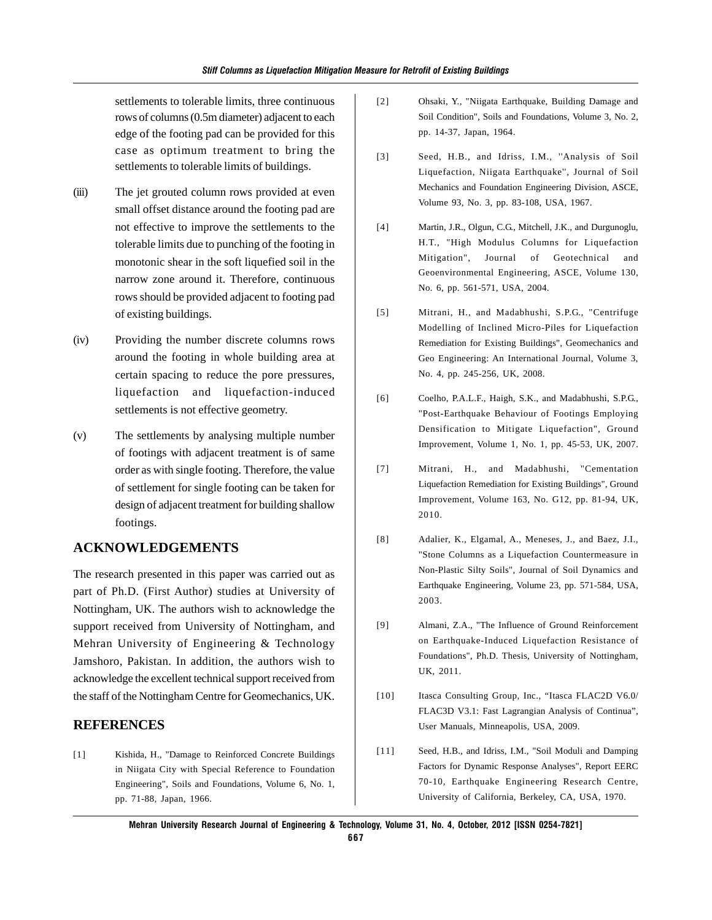settlements to tolerable limits, three continuous rows of columns (0.5m diameter) adjacent to each edge of the footing pad can be provided for this case as optimum treatment to bring the settlements to tolerable limits of buildings.

- (iii) The jet grouted column rows provided at even small offset distance around the footing pad are not effective to improve the settlements to the tolerable limits due to punching of the footing in monotonic shear in the soft liquefied soil in the narrow zone around it. Therefore, continuous rows should be provided adjacent to footing pad of existing buildings.
- (iv) Providing the number discrete columns rows around the footing in whole building area at certain spacing to reduce the pore pressures, liquefaction and liquefaction-induced settlements is not effective geometry.
- (v) The settlements by analysing multiple number of footings with adjacent treatment is of same order as with single footing. Therefore, the value of settlement for single footing can be taken for design of adjacent treatment for building shallow footings.

### **ACKNOWLEDGEMENTS**

The research presented in this paper was carried out as part of Ph.D. (First Author) studies at University of Nottingham, UK. The authors wish to acknowledge the support received from University of Nottingham, and Mehran University of Engineering & Technology Jamshoro, Pakistan. In addition, the authors wish to acknowledge the excellent technical support received from the staff of the Nottingham Centre for Geomechanics, UK.

### **REFERENCES**

[1] Kishida, H., "Damage to Reinforced Concrete Buildings in Niigata City with Special Reference to Foundation Engineering", Soils and Foundations, Volume 6, No. 1, pp. 71-88, Japan, 1966.

- [2] Ohsaki, Y., "Niigata Earthquake, Building Damage and Soil Condition", Soils and Foundations, Volume 3, No. 2, pp. 14-37, Japan, 1964.
- [3] Seed, H.B., and Idriss, I.M., ''Analysis of Soil Liquefaction, Niigata Earthquake'', Journal of Soil Mechanics and Foundation Engineering Division, ASCE, Volume 93, No. 3, pp. 83-108, USA, 1967.
- [4] Martin, J.R., Olgun, C.G., Mitchell, J.K., and Durgunoglu, H.T., "High Modulus Columns for Liquefaction Mitigation", Journal of Geotechnical and Geoenvironmental Engineering, ASCE, Volume 130, No. 6, pp. 561-571, USA, 2004.
- [5] Mitrani, H., and Madabhushi, S.P.G., "Centrifuge Modelling of Inclined Micro-Piles for Liquefaction Remediation for Existing Buildings", Geomechanics and Geo Engineering: An International Journal, Volume 3, No. 4, pp. 245-256, UK, 2008.
- [6] Coelho, P.A.L.F., Haigh, S.K., and Madabhushi, S.P.G., "Post-Earthquake Behaviour of Footings Employing Densification to Mitigate Liquefaction", Ground Improvement, Volume 1, No. 1, pp. 45-53, UK, 2007.
- [7] Mitrani, H., and Madabhushi, "Cementation Liquefaction Remediation for Existing Buildings", Ground Improvement, Volume 163, No. G12, pp. 81-94, UK, 2010.
- [8] Adalier, K., Elgamal, A., Meneses, J., and Baez, J.I., "Stone Columns as a Liquefaction Countermeasure in Non-Plastic Silty Soils", Journal of Soil Dynamics and Earthquake Engineering, Volume 23, pp. 571-584, USA, 2003.
- [9] Almani, Z.A., "The Influence of Ground Reinforcement on Earthquake-Induced Liquefaction Resistance of Foundations", Ph.D. Thesis, University of Nottingham, UK, 2011.
- [10] Itasca Consulting Group, Inc., "Itasca FLAC2D V6.0/ FLAC3D V3.1: Fast Lagrangian Analysis of Continua", User Manuals, Minneapolis, USA, 2009.
- [11] Seed, H.B., and Idriss, I.M., "Soil Moduli and Damping Factors for Dynamic Response Analyses", Report EERC 70-10, Earthquake Engineering Research Centre, University of California, Berkeley, CA, USA, 1970.